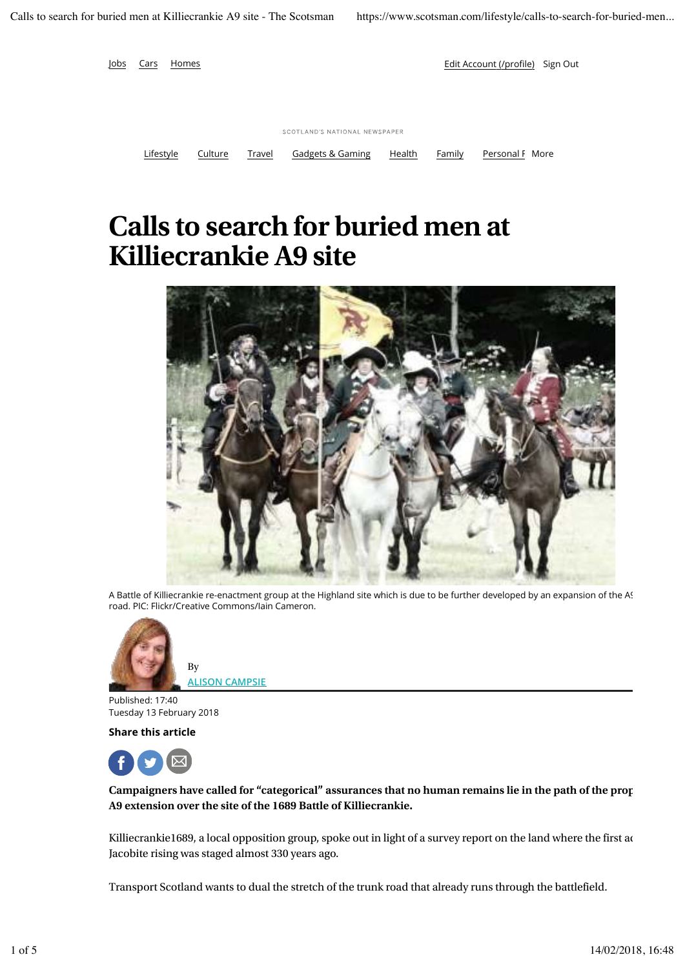

## **Calls to search for buried men at Killiecrankie A9 site**



A Battle of Killiecrankie re-enactment group at the Highland site which is due to be further developed by an expansion of the A9 road. PIC: Flickr/Creative Commons/Iain Cameron.



**ALISON CAMPSIE**

Published: 17:40 Tuesday 13 February 2018

**Share this article**



**Campaigners have called for "categorical" assurances that no human remains lie in the path of the prop A9 extension over the site of the 1689 Battle of Killiecrankie.**

Killiecrankie1689, a local opposition group, spoke out in light of a survey report on the land where the first ac Jacobite rising was staged almost 330 years ago.

Transport Scotland wants to dual the stretch of the trunk road that already runs through the battlefield.